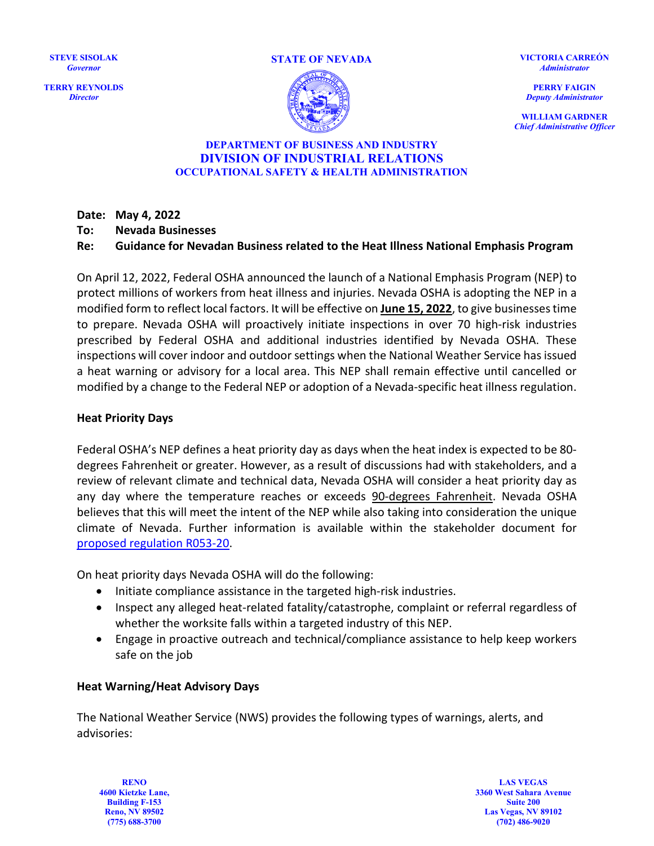**STEVE SISOLAK** *Governor*

**TERRY REYNOLDS** *Director*





**VICTORIA CARREÓN** *Administrator*

**PERRY FAIGIN** *Deputy Administrator*

**WILLIAM GARDNER** *Chief Administrative Officer*

#### **DEPARTMENT OF BUSINESS AND INDUSTRY DIVISION OF INDUSTRIAL RELATIONS OCCUPATIONAL SAFETY & HEALTH ADMINISTRATION**

**Date: May 4, 2022 To: Nevada Businesses Re: Guidance for Nevadan Business related to the Heat Illness National Emphasis Program**

On April 12, 2022, Federal OSHA announced the launch of a National Emphasis Program (NEP) to protect millions of workers from heat illness and injuries. Nevada OSHA is adopting the NEP in a modified form to reflect local factors. It will be effective on **June 15, 2022**, to give businesses time to prepare. Nevada OSHA will proactively initiate inspections in over 70 high-risk industries prescribed by Federal OSHA and additional industries identified by Nevada OSHA. These inspections will cover indoor and outdoor settings when the National Weather Service has issued a heat warning or advisory for a local area. This NEP shall remain effective until cancelled or modified by a change to the Federal NEP or adoption of a Nevada-specific heat illness regulation.

#### **Heat Priority Days**

Federal OSHA's NEP defines a heat priority day as days when the heat index is expected to be 80 degrees Fahrenheit or greater. However, as a result of discussions had with stakeholders, and a review of relevant climate and technical data, Nevada OSHA will consider a heat priority day as any day where the temperature reaches or exceeds 90-degrees Fahrenheit. Nevada OSHA believes that this will meet the intent of the NEP while also taking into consideration the unique climate of Nevada. Further information is available within the stakeholder document for [proposed regulation R053-20.](https://dir.nv.gov/uploadedFiles/dir.nv.gov/content/OSHA/Features/R053-20%20Proposed%20Heat%20Illness%20Regulation%20-%202.28.22(3).pdf)

On heat priority days Nevada OSHA will do the following:

- Initiate compliance assistance in the targeted high-risk industries.
- Inspect any alleged heat-related fatality/catastrophe, complaint or referral regardless of whether the worksite falls within a targeted industry of this NEP.
- Engage in proactive outreach and technical/compliance assistance to help keep workers safe on the job

## **Heat Warning/Heat Advisory Days**

The National Weather Service (NWS) provides the following types of warnings, alerts, and advisories:

**RENO 4600 Kietzke Lane, Building F-153 Reno, NV 89502 (775) 688-3700**

**LAS VEGAS 3360 West Sahara Avenue Suite 200 Las Vegas, NV 89102 (702) 486-9020**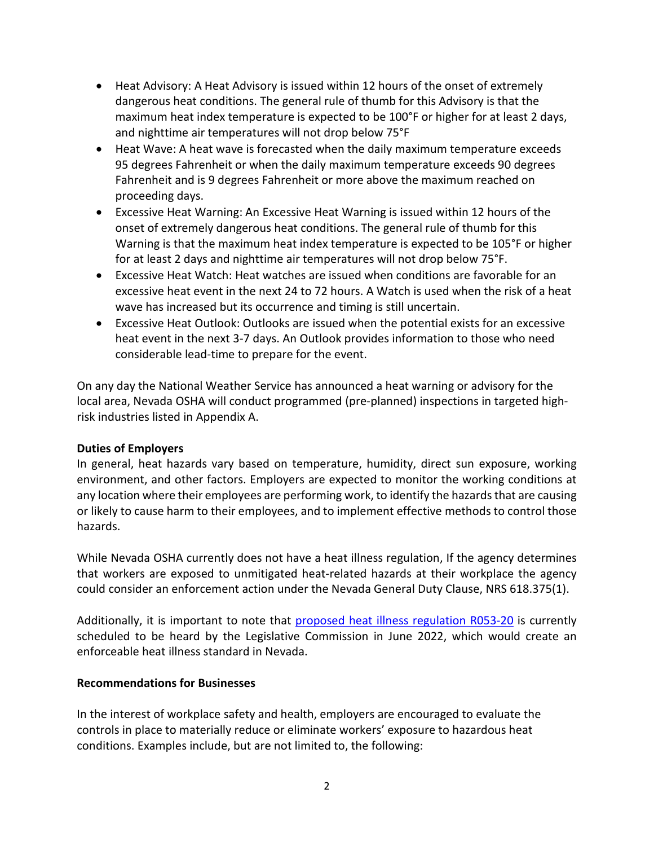- Heat Advisory: A Heat Advisory is issued within 12 hours of the onset of extremely dangerous heat conditions. The general rule of thumb for this Advisory is that the maximum heat index temperature is expected to be 100°F or higher for at least 2 days, and nighttime air temperatures will not drop below 75°F
- Heat Wave: A heat wave is forecasted when the daily maximum temperature exceeds 95 degrees Fahrenheit or when the daily maximum temperature exceeds 90 degrees Fahrenheit and is 9 degrees Fahrenheit or more above the maximum reached on proceeding days.
- Excessive Heat Warning: An Excessive Heat Warning is issued within 12 hours of the onset of extremely dangerous heat conditions. The general rule of thumb for this Warning is that the maximum heat index temperature is expected to be 105°F or higher for at least 2 days and nighttime air temperatures will not drop below 75°F.
- Excessive Heat Watch: Heat watches are issued when conditions are favorable for an excessive heat event in the next 24 to 72 hours. A Watch is used when the risk of a heat wave has increased but its occurrence and timing is still uncertain.
- Excessive Heat Outlook: Outlooks are issued when the potential exists for an excessive heat event in the next 3-7 days. An Outlook provides information to those who need considerable lead-time to prepare for the event.

On any day the National Weather Service has announced a heat warning or advisory for the local area, Nevada OSHA will conduct programmed (pre-planned) inspections in targeted highrisk industries listed in Appendix A.

#### **Duties of Employers**

In general, heat hazards vary based on temperature, humidity, direct sun exposure, working environment, and other factors. Employers are expected to monitor the working conditions at any location where their employees are performing work, to identify the hazards that are causing or likely to cause harm to their employees, and to implement effective methods to control those hazards.

While Nevada OSHA currently does not have a heat illness regulation, If the agency determines that workers are exposed to unmitigated heat-related hazards at their workplace the agency could consider an enforcement action under the Nevada General Duty Clause, NRS 618.375(1).

Additionally, it is important to note that [proposed heat illness regulation R053-20](https://www.leg.state.nv.us/Register/2020Register/R053-20RA.pdf) is currently scheduled to be heard by the Legislative Commission in June 2022, which would create an enforceable heat illness standard in Nevada.

#### **Recommendations for Businesses**

In the interest of workplace safety and health, employers are encouraged to evaluate the controls in place to materially reduce or eliminate workers' exposure to hazardous heat conditions. Examples include, but are not limited to, the following: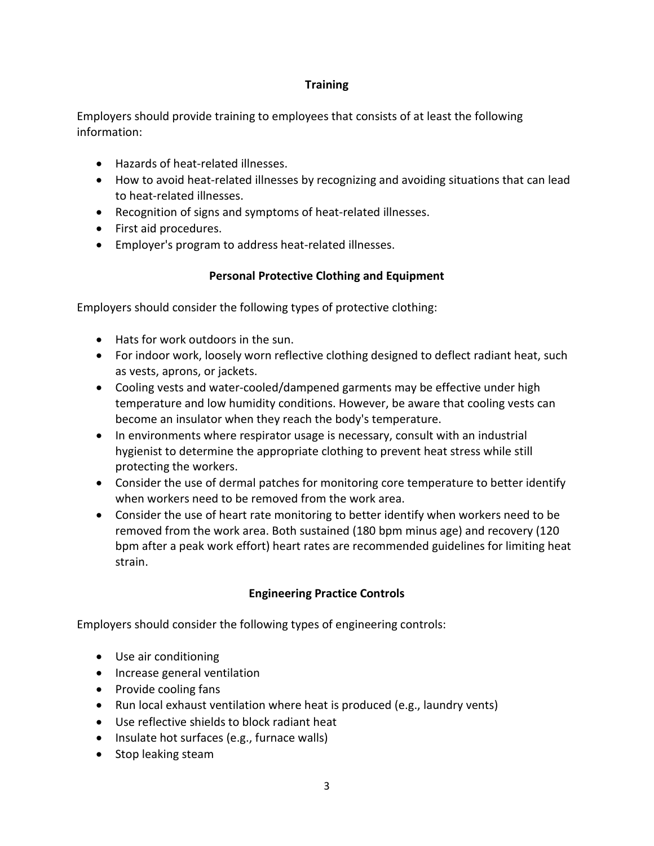## **Training**

Employers should provide training to employees that consists of at least the following information:

- Hazards of heat-related illnesses.
- How to avoid heat-related illnesses by recognizing and avoiding situations that can lead to heat-related illnesses.
- Recognition of signs and symptoms of heat-related illnesses.
- First aid procedures.
- Employer's program to address heat-related illnesses.

## **Personal Protective Clothing and Equipment**

Employers should consider the following types of protective clothing:

- Hats for work outdoors in the sun.
- For indoor work, loosely worn reflective clothing designed to deflect radiant heat, such as vests, aprons, or jackets.
- Cooling vests and water-cooled/dampened garments may be effective under high temperature and low humidity conditions. However, be aware that cooling vests can become an insulator when they reach the body's temperature.
- In environments where respirator usage is necessary, consult with an industrial hygienist to determine the appropriate clothing to prevent heat stress while still protecting the workers.
- Consider the use of dermal patches for monitoring core temperature to better identify when workers need to be removed from the work area.
- Consider the use of heart rate monitoring to better identify when workers need to be removed from the work area. Both sustained (180 bpm minus age) and recovery (120 bpm after a peak work effort) heart rates are recommended guidelines for limiting heat strain.

## **Engineering Practice Controls**

Employers should consider the following types of engineering controls:

- Use air conditioning
- Increase general ventilation
- Provide cooling fans
- Run local exhaust ventilation where heat is produced (e.g., laundry vents)
- Use reflective shields to block radiant heat
- Insulate hot surfaces (e.g., furnace walls)
- Stop leaking steam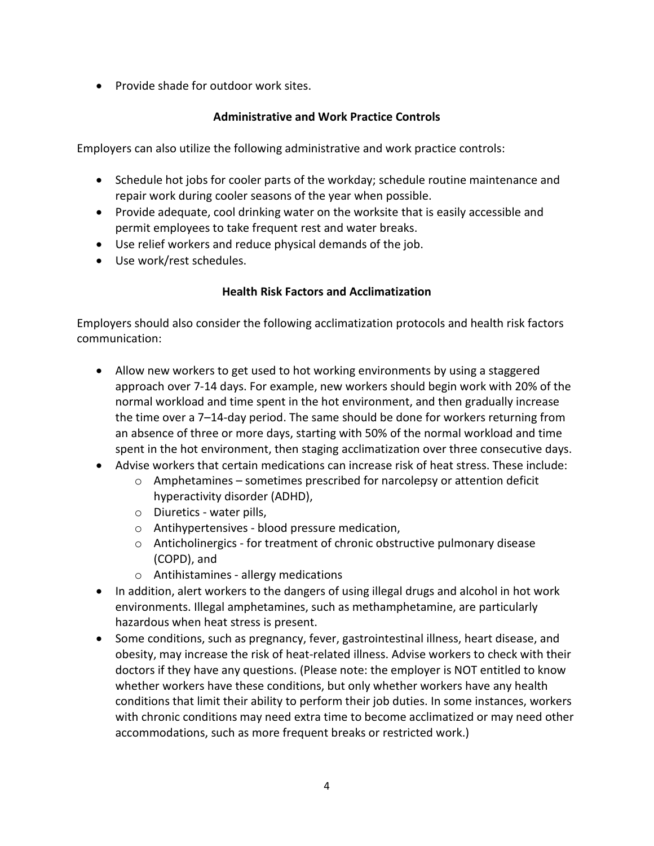• Provide shade for outdoor work sites.

## **Administrative and Work Practice Controls**

Employers can also utilize the following administrative and work practice controls:

- Schedule hot jobs for cooler parts of the workday; schedule routine maintenance and repair work during cooler seasons of the year when possible.
- Provide adequate, cool drinking water on the worksite that is easily accessible and permit employees to take frequent rest and water breaks.
- Use relief workers and reduce physical demands of the job.
- Use work/rest schedules.

## **Health Risk Factors and Acclimatization**

Employers should also consider the following acclimatization protocols and health risk factors communication:

- Allow new workers to get used to hot working environments by using a staggered approach over 7-14 days. For example, new workers should begin work with 20% of the normal workload and time spent in the hot environment, and then gradually increase the time over a 7–14-day period. The same should be done for workers returning from an absence of three or more days, starting with 50% of the normal workload and time spent in the hot environment, then staging acclimatization over three consecutive days.
- Advise workers that certain medications can increase risk of heat stress. These include:
	- $\circ$  Amphetamines sometimes prescribed for narcolepsy or attention deficit hyperactivity disorder (ADHD),
	- o Diuretics water pills,
	- o Antihypertensives blood pressure medication,
	- $\circ$  Anticholinergics for treatment of chronic obstructive pulmonary disease (COPD), and
	- o Antihistamines allergy medications
- In addition, alert workers to the dangers of using illegal drugs and alcohol in hot work environments. Illegal amphetamines, such as methamphetamine, are particularly hazardous when heat stress is present.
- Some conditions, such as pregnancy, fever, gastrointestinal illness, heart disease, and obesity, may increase the risk of heat-related illness. Advise workers to check with their doctors if they have any questions. (Please note: the employer is NOT entitled to know whether workers have these conditions, but only whether workers have any health conditions that limit their ability to perform their job duties. In some instances, workers with chronic conditions may need extra time to become acclimatized or may need other accommodations, such as more frequent breaks or restricted work.)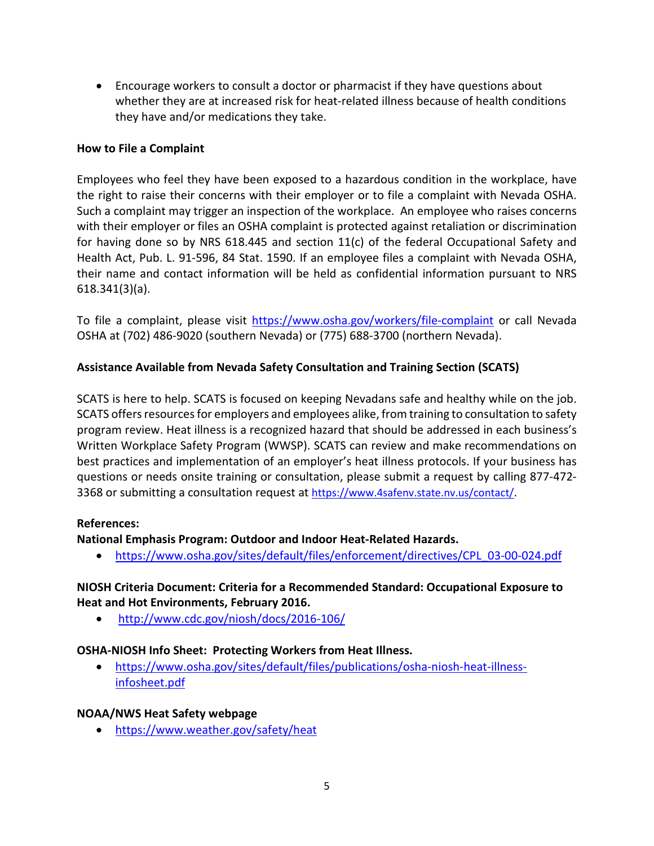• Encourage workers to consult a doctor or pharmacist if they have questions about whether they are at increased risk for heat-related illness because of health conditions they have and/or medications they take.

#### **How to File a Complaint**

Employees who feel they have been exposed to a hazardous condition in the workplace, have the right to raise their concerns with their employer or to file a complaint with Nevada OSHA. Such a complaint may trigger an inspection of the workplace. An employee who raises concerns with their employer or files an OSHA complaint is protected against retaliation or discrimination for having done so by NRS 618.445 and section 11(c) of the federal Occupational Safety and Health Act, Pub. L. 91-596, 84 Stat. 1590. If an employee files a complaint with Nevada OSHA, their name and contact information will be held as confidential information pursuant to NRS 618.341(3)(a).

To file a complaint, please visit<https://www.osha.gov/workers/file-complaint> or call Nevada OSHA at (702) 486-9020 (southern Nevada) or (775) 688-3700 (northern Nevada).

## **Assistance Available from Nevada Safety Consultation and Training Section (SCATS)**

SCATS is here to help. SCATS is focused on keeping Nevadans safe and healthy while on the job. SCATS offers resources for employers and employees alike, from training to consultation to safety program review. Heat illness is a recognized hazard that should be addressed in each business's Written Workplace Safety Program (WWSP). SCATS can review and make recommendations on best practices and implementation of an employer's heat illness protocols. If your business has questions or needs onsite training or consultation, please submit a request by calling 877-472 3368 or submitting a consultation request at [https://www.4safenv.state.nv.us/contact/.](https://www.4safenv.state.nv.us/contact/)

#### **References:**

**National Emphasis Program: Outdoor and Indoor Heat-Related Hazards.** 

• [https://www.osha.gov/sites/default/files/enforcement/directives/CPL\\_03-00-024.pdf](https://www.osha.gov/sites/default/files/enforcement/directives/CPL_03-00-024.pdf)

## **NIOSH Criteria Document: Criteria for a Recommended Standard: Occupational Exposure to Heat and Hot Environments, February 2016.**

• <http://www.cdc.gov/niosh/docs/2016-106/>

## **OSHA-NIOSH Info Sheet:  Protecting Workers from Heat Illness.**

• [https://www.osha.gov/sites/default/files/publications/osha-niosh-heat-illness](https://www.osha.gov/sites/default/files/publications/osha-niosh-heat-illness-infosheet.pdf)[infosheet.pdf](https://www.osha.gov/sites/default/files/publications/osha-niosh-heat-illness-infosheet.pdf)

#### **NOAA/NWS Heat Safety webpage**

• <https://www.weather.gov/safety/heat>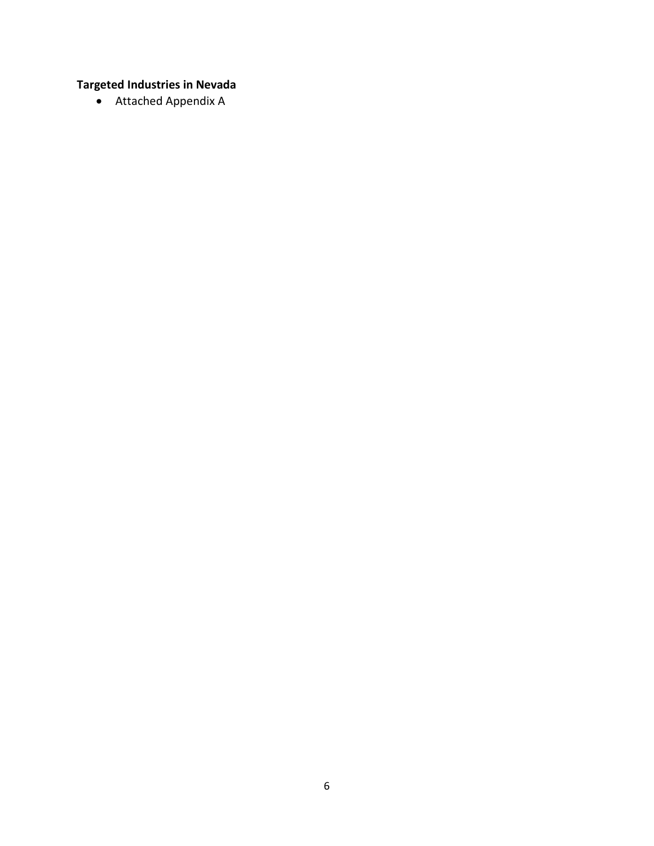## **Targeted Industries in Nevada**

• Attached Appendix A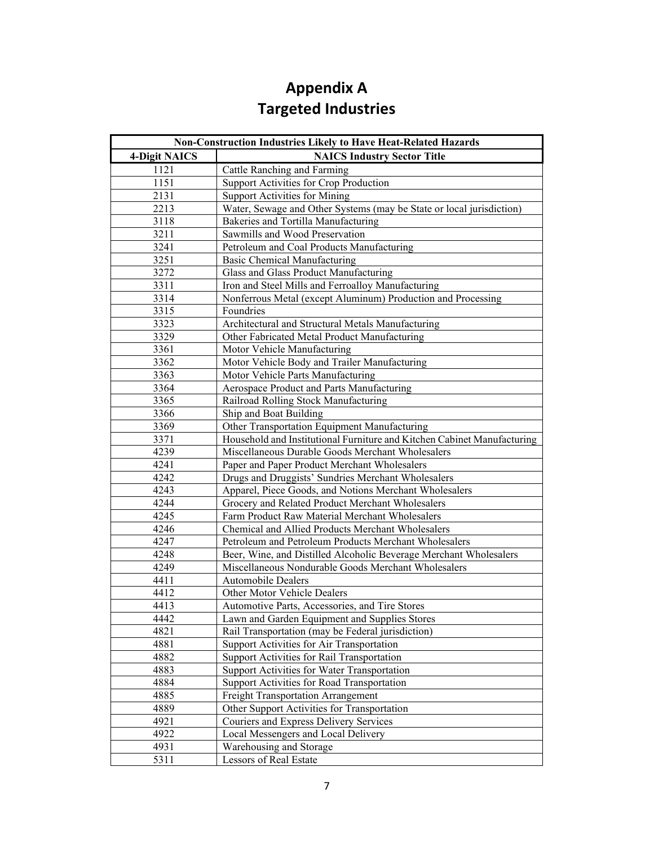# **Appendix A Targeted Industries**

| Non-Construction Industries Likely to Have Heat-Related Hazards |                                                                         |  |
|-----------------------------------------------------------------|-------------------------------------------------------------------------|--|
| <b>4-Digit NAICS</b>                                            | <b>NAICS Industry Sector Title</b>                                      |  |
| 1121                                                            | Cattle Ranching and Farming                                             |  |
| 1151                                                            | <b>Support Activities for Crop Production</b>                           |  |
| 2131                                                            | <b>Support Activities for Mining</b>                                    |  |
| 2213                                                            | Water, Sewage and Other Systems (may be State or local jurisdiction)    |  |
| 3118                                                            | Bakeries and Tortilla Manufacturing                                     |  |
| 3211                                                            | Sawmills and Wood Preservation                                          |  |
| 3241                                                            | Petroleum and Coal Products Manufacturing                               |  |
| 3251                                                            | <b>Basic Chemical Manufacturing</b>                                     |  |
| 3272                                                            | Glass and Glass Product Manufacturing                                   |  |
| 3311                                                            | Iron and Steel Mills and Ferroalloy Manufacturing                       |  |
| 3314                                                            | Nonferrous Metal (except Aluminum) Production and Processing            |  |
| 3315                                                            | Foundries                                                               |  |
| 3323                                                            | Architectural and Structural Metals Manufacturing                       |  |
| 3329                                                            | Other Fabricated Metal Product Manufacturing                            |  |
| 3361                                                            | Motor Vehicle Manufacturing                                             |  |
| 3362                                                            | Motor Vehicle Body and Trailer Manufacturing                            |  |
| 3363                                                            | Motor Vehicle Parts Manufacturing                                       |  |
| 3364                                                            | Aerospace Product and Parts Manufacturing                               |  |
| 3365                                                            | Railroad Rolling Stock Manufacturing                                    |  |
| 3366                                                            | Ship and Boat Building                                                  |  |
| 3369                                                            | Other Transportation Equipment Manufacturing                            |  |
| 3371                                                            | Household and Institutional Furniture and Kitchen Cabinet Manufacturing |  |
| 4239                                                            | Miscellaneous Durable Goods Merchant Wholesalers                        |  |
| 4241                                                            | Paper and Paper Product Merchant Wholesalers                            |  |
| 4242                                                            | Drugs and Druggists' Sundries Merchant Wholesalers                      |  |
| 4243                                                            | Apparel, Piece Goods, and Notions Merchant Wholesalers                  |  |
| 4244                                                            | Grocery and Related Product Merchant Wholesalers                        |  |
| 4245                                                            | Farm Product Raw Material Merchant Wholesalers                          |  |
| 4246                                                            | Chemical and Allied Products Merchant Wholesalers                       |  |
| 4247                                                            | Petroleum and Petroleum Products Merchant Wholesalers                   |  |
| 4248                                                            | Beer, Wine, and Distilled Alcoholic Beverage Merchant Wholesalers       |  |
| 4249                                                            | Miscellaneous Nondurable Goods Merchant Wholesalers                     |  |
| 4411                                                            | <b>Automobile Dealers</b>                                               |  |
| 4412                                                            | Other Motor Vehicle Dealers                                             |  |
| 4413                                                            | Automotive Parts, Accessories, and Tire Stores                          |  |
| 4442                                                            | Lawn and Garden Equipment and Supplies Stores                           |  |
| 4821                                                            | Rail Transportation (may be Federal jurisdiction)                       |  |
| 4881                                                            | Support Activities for Air Transportation                               |  |
| 4882                                                            | Support Activities for Rail Transportation                              |  |
| 4883                                                            | Support Activities for Water Transportation                             |  |
| 4884                                                            | Support Activities for Road Transportation                              |  |
| 4885                                                            | <b>Freight Transportation Arrangement</b>                               |  |
| 4889                                                            | Other Support Activities for Transportation                             |  |
| 4921                                                            | Couriers and Express Delivery Services                                  |  |
| 4922                                                            | Local Messengers and Local Delivery                                     |  |
| 4931                                                            | Warehousing and Storage                                                 |  |
| 5311                                                            | Lessors of Real Estate                                                  |  |